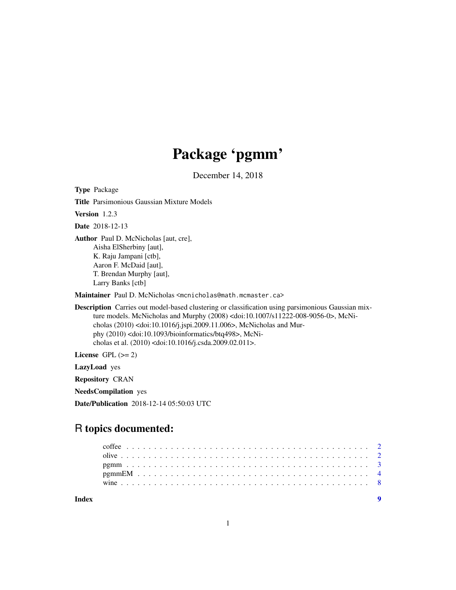## Package 'pgmm'

December 14, 2018

Type Package

Title Parsimonious Gaussian Mixture Models

Version 1.2.3

Date 2018-12-13

Author Paul D. McNicholas [aut, cre], Aisha ElSherbiny [aut], K. Raju Jampani [ctb], Aaron F. McDaid [aut], T. Brendan Murphy [aut], Larry Banks [ctb]

Maintainer Paul D. McNicholas <mcnicholas@math.mcmaster.ca>

Description Carries out model-based clustering or classification using parsimonious Gaussian mixture models. McNicholas and Murphy (2008) <doi:10.1007/s11222-008-9056-0>, McNicholas (2010) <doi:10.1016/j.jspi.2009.11.006>, McNicholas and Murphy (2010) <doi:10.1093/bioinformatics/btq498>, McNicholas et al. (2010) <doi:10.1016/j.csda.2009.02.011>.

License GPL  $(>= 2)$ 

LazyLoad yes

Repository CRAN

NeedsCompilation yes

Date/Publication 2018-12-14 05:50:03 UTC

### R topics documented:

| Index |  |  |  |  |  |  |  |  |  |  |  |  |  |  |  |  |  |  |  |  |  |
|-------|--|--|--|--|--|--|--|--|--|--|--|--|--|--|--|--|--|--|--|--|--|
|       |  |  |  |  |  |  |  |  |  |  |  |  |  |  |  |  |  |  |  |  |  |
|       |  |  |  |  |  |  |  |  |  |  |  |  |  |  |  |  |  |  |  |  |  |
|       |  |  |  |  |  |  |  |  |  |  |  |  |  |  |  |  |  |  |  |  |  |
|       |  |  |  |  |  |  |  |  |  |  |  |  |  |  |  |  |  |  |  |  |  |
|       |  |  |  |  |  |  |  |  |  |  |  |  |  |  |  |  |  |  |  |  |  |

1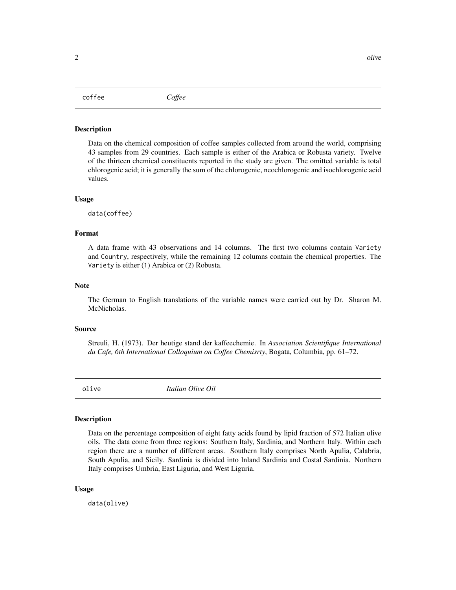<span id="page-1-0"></span> $2 \,$  olive  $\sim$  0.1  $\sim$  0.1  $\sim$  0.1  $\sim$  0.1  $\sim$  0.1  $\sim$  0.1  $\sim$  0.1  $\sim$  0.1  $\sim$  0.1  $\sim$  0.1  $\sim$  0.1  $\sim$  0.1  $\sim$  0.1  $\sim$  0.1  $\sim$  0.1  $\sim$  0.1  $\sim$  0.1  $\sim$  0.1  $\sim$  0.1  $\sim$  0.1  $\sim$  0.1  $\sim$  0.1  $\sim$  0.1  $\$ 

coffee *Coffee*

#### Description

Data on the chemical composition of coffee samples collected from around the world, comprising 43 samples from 29 countries. Each sample is either of the Arabica or Robusta variety. Twelve of the thirteen chemical constituents reported in the study are given. The omitted variable is total chlorogenic acid; it is generally the sum of the chlorogenic, neochlorogenic and isochlorogenic acid values.

#### Usage

data(coffee)

#### Format

A data frame with 43 observations and 14 columns. The first two columns contain Variety and Country, respectively, while the remaining 12 columns contain the chemical properties. The Variety is either (1) Arabica or (2) Robusta.

#### Note

The German to English translations of the variable names were carried out by Dr. Sharon M. McNicholas.

#### Source

Streuli, H. (1973). Der heutige stand der kaffeechemie. In *Association Scientifique International du Cafe, 6th International Colloquium on Coffee Chemisrty*, Bogata, Columbia, pp. 61–72.

olive *Italian Olive Oil*

#### Description

Data on the percentage composition of eight fatty acids found by lipid fraction of 572 Italian olive oils. The data come from three regions: Southern Italy, Sardinia, and Northern Italy. Within each region there are a number of different areas. Southern Italy comprises North Apulia, Calabria, South Apulia, and Sicily. Sardinia is divided into Inland Sardinia and Costal Sardinia. Northern Italy comprises Umbria, East Liguria, and West Liguria.

#### Usage

data(olive)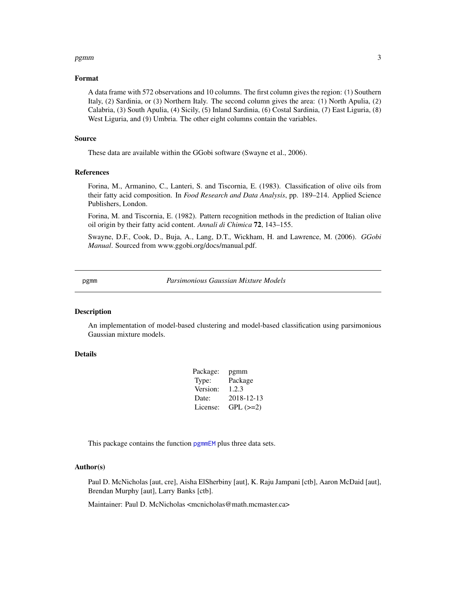#### <span id="page-2-0"></span>pgmm 3

#### Format

A data frame with 572 observations and 10 columns. The first column gives the region: (1) Southern Italy, (2) Sardinia, or (3) Northern Italy. The second column gives the area: (1) North Apulia, (2) Calabria, (3) South Apulia, (4) Sicily, (5) Inland Sardinia, (6) Costal Sardinia, (7) East Liguria, (8) West Liguria, and (9) Umbria. The other eight columns contain the variables.

#### Source

These data are available within the GGobi software (Swayne et al., 2006).

#### References

Forina, M., Armanino, C., Lanteri, S. and Tiscornia, E. (1983). Classification of olive oils from their fatty acid composition. In *Food Research and Data Analysis*, pp. 189–214. Applied Science Publishers, London.

Forina, M. and Tiscornia, E. (1982). Pattern recognition methods in the prediction of Italian olive oil origin by their fatty acid content. *Annali di Chimica* 72, 143–155.

Swayne, D.F., Cook, D., Buja, A., Lang, D.T., Wickham, H. and Lawrence, M. (2006). *GGobi Manual*. Sourced from www.ggobi.org/docs/manual.pdf.

pgmm *Parsimonious Gaussian Mixture Models*

#### Description

An implementation of model-based clustering and model-based classification using parsimonious Gaussian mixture models.

#### Details

| Package: | pgmm       |
|----------|------------|
| Type:    | Package    |
| Version: | 1.2.3      |
| Date:    | 2018-12-13 |
| License: | $GPL (=2)$ |

This package contains the function [pgmmEM](#page-3-1) plus three data sets.

#### Author(s)

Paul D. McNicholas [aut, cre], Aisha ElSherbiny [aut], K. Raju Jampani [ctb], Aaron McDaid [aut], Brendan Murphy [aut], Larry Banks [ctb].

Maintainer: Paul D. McNicholas <mcnicholas@math.mcmaster.ca>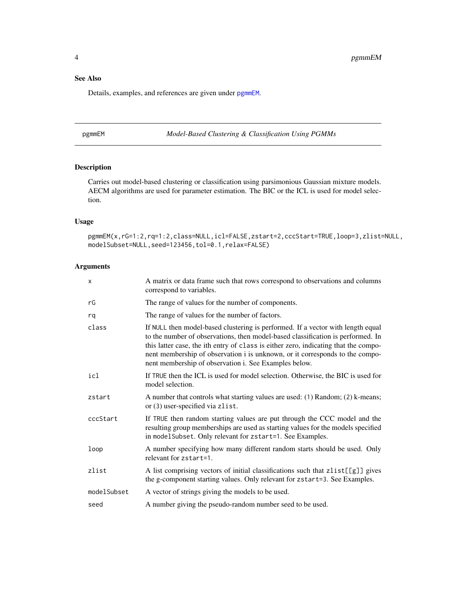#### <span id="page-3-0"></span>See Also

Details, examples, and references are given under [pgmmEM](#page-3-1).

<span id="page-3-1"></span>pgmmEM *Model-Based Clustering & Classification Using PGMMs*

#### Description

Carries out model-based clustering or classification using parsimonious Gaussian mixture models. AECM algorithms are used for parameter estimation. The BIC or the ICL is used for model selection.

#### Usage

pgmmEM(x,rG=1:2,rq=1:2,class=NULL,icl=FALSE,zstart=2,cccStart=TRUE,loop=3,zlist=NULL, modelSubset=NULL,seed=123456,tol=0.1,relax=FALSE)

#### Arguments

| X           | A matrix or data frame such that rows correspond to observations and columns<br>correspond to variables.                                                                                                                                                                                                                                                                                           |
|-------------|----------------------------------------------------------------------------------------------------------------------------------------------------------------------------------------------------------------------------------------------------------------------------------------------------------------------------------------------------------------------------------------------------|
| rG          | The range of values for the number of components.                                                                                                                                                                                                                                                                                                                                                  |
| rq          | The range of values for the number of factors.                                                                                                                                                                                                                                                                                                                                                     |
| class       | If NULL then model-based clustering is performed. If a vector with length equal<br>to the number of observations, then model-based classification is performed. In<br>this latter case, the ith entry of class is either zero, indicating that the compo-<br>nent membership of observation i is unknown, or it corresponds to the compo-<br>nent membership of observation i. See Examples below. |
| icl         | If TRUE then the ICL is used for model selection. Otherwise, the BIC is used for<br>model selection.                                                                                                                                                                                                                                                                                               |
| zstart      | A number that controls what starting values are used: (1) Random; (2) k-means;<br>or (3) user-specified via zlist.                                                                                                                                                                                                                                                                                 |
| cccStart    | If TRUE then random starting values are put through the CCC model and the<br>resulting group memberships are used as starting values for the models specified<br>in modelSubset. Only relevant for zstart=1. See Examples.                                                                                                                                                                         |
| loop        | A number specifying how many different random starts should be used. Only<br>relevant for zstart=1.                                                                                                                                                                                                                                                                                                |
| zlist       | A list comprising vectors of initial classifications such that zlist[[g]] gives<br>the g-component starting values. Only relevant for zstart=3. See Examples.                                                                                                                                                                                                                                      |
| modelSubset | A vector of strings giving the models to be used.                                                                                                                                                                                                                                                                                                                                                  |
| seed        | A number giving the pseudo-random number seed to be used.                                                                                                                                                                                                                                                                                                                                          |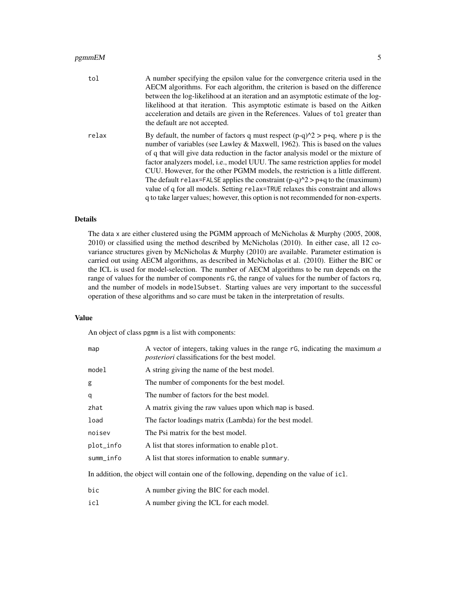#### $p$ gmmEM 5

| tol   | A number specifying the epsilon value for the convergence criteria used in the<br>AECM algorithms. For each algorithm, the criterion is based on the difference<br>between the log-likelihood at an iteration and an asymptotic estimate of the log-<br>likelihood at that iteration. This asymptotic estimate is based on the Aitken<br>acceleration and details are given in the References. Values of tol greater than<br>the default are not accepted.                                                                                                                                                                                                                                         |
|-------|----------------------------------------------------------------------------------------------------------------------------------------------------------------------------------------------------------------------------------------------------------------------------------------------------------------------------------------------------------------------------------------------------------------------------------------------------------------------------------------------------------------------------------------------------------------------------------------------------------------------------------------------------------------------------------------------------|
| relax | By default, the number of factors q must respect $(p-q)^2$ > p+q, where p is the<br>number of variables (see Lawley & Maxwell, 1962). This is based on the values<br>of q that will give data reduction in the factor analysis model or the mixture of<br>factor analyzers model, <i>i.e.</i> , model UUU. The same restriction applies for model<br>CUU. However, for the other PGMM models, the restriction is a little different.<br>The default relax=FALSE applies the constraint $(p-q)^2$ > $p+q$ to the (maximum)<br>value of q for all models. Setting relax=TRUE relaxes this constraint and allows<br>q to take larger values; however, this option is not recommended for non-experts. |

#### Details

The data x are either clustered using the PGMM approach of McNicholas & Murphy (2005, 2008, 2010) or classified using the method described by McNicholas (2010). In either case, all 12 covariance structures given by McNicholas & Murphy (2010) are available. Parameter estimation is carried out using AECM algorithms, as described in McNicholas et al. (2010). Either the BIC or the ICL is used for model-selection. The number of AECM algorithms to be run depends on the range of values for the number of components rG, the range of values for the number of factors rq, and the number of models in modelSubset. Starting values are very important to the successful operation of these algorithms and so care must be taken in the interpretation of results.

#### Value

An object of class pgmm is a list with components:

| map       | A vector of integers, taking values in the range rG, indicating the maximum a<br><i>posteriori</i> classifications for the best model. |
|-----------|----------------------------------------------------------------------------------------------------------------------------------------|
| model     | A string giving the name of the best model.                                                                                            |
| g         | The number of components for the best model.                                                                                           |
| q         | The number of factors for the best model.                                                                                              |
| zhat      | A matrix giving the raw values upon which map is based.                                                                                |
| load      | The factor loadings matrix (Lambda) for the best model.                                                                                |
| noisev    | The Psi matrix for the best model.                                                                                                     |
| plot_info | A list that stores information to enable plot.                                                                                         |
| summ info | A list that stores information to enable summary.                                                                                      |
|           | . The conditions with constant and constant and constant formation and constant and constant and constant of t                         |

In addition, the object will contain one of the following, depending on the value of icl.

- bic A number giving the BIC for each model.
- icl A number giving the ICL for each model.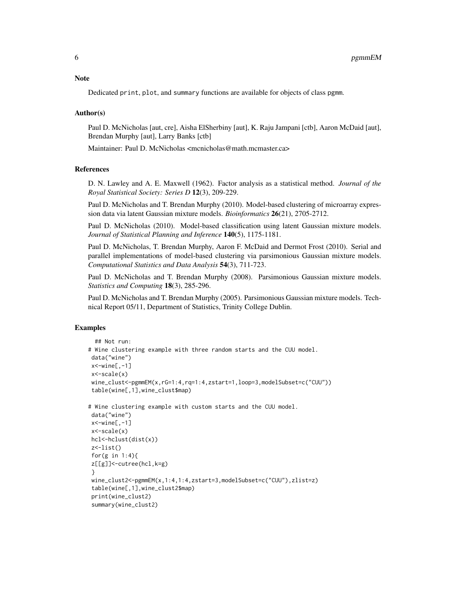#### **Note**

Dedicated print, plot, and summary functions are available for objects of class pgmm.

#### Author(s)

Paul D. McNicholas [aut, cre], Aisha ElSherbiny [aut], K. Raju Jampani [ctb], Aaron McDaid [aut], Brendan Murphy [aut], Larry Banks [ctb]

Maintainer: Paul D. McNicholas <mcnicholas@math.mcmaster.ca>

#### References

D. N. Lawley and A. E. Maxwell (1962). Factor analysis as a statistical method. *Journal of the Royal Statistical Society: Series D* 12(3), 209-229.

Paul D. McNicholas and T. Brendan Murphy (2010). Model-based clustering of microarray expression data via latent Gaussian mixture models. *Bioinformatics* 26(21), 2705-2712.

Paul D. McNicholas (2010). Model-based classification using latent Gaussian mixture models. *Journal of Statistical Planning and Inference* 140(5), 1175-1181.

Paul D. McNicholas, T. Brendan Murphy, Aaron F. McDaid and Dermot Frost (2010). Serial and parallel implementations of model-based clustering via parsimonious Gaussian mixture models. *Computational Statistics and Data Analysis* 54(3), 711-723.

Paul D. McNicholas and T. Brendan Murphy (2008). Parsimonious Gaussian mixture models. *Statistics and Computing* 18(3), 285-296.

Paul D. McNicholas and T. Brendan Murphy (2005). Parsimonious Gaussian mixture models. Technical Report 05/11, Department of Statistics, Trinity College Dublin.

#### Examples

```
## Not run:
# Wine clustering example with three random starts and the CUU model.
data("wine")
x <- wine [,-1]
x<-scale(x)
wine_clust<-pgmmEM(x,rG=1:4,rq=1:4,zstart=1,loop=3,modelSubset=c("CUU"))
table(wine[,1],wine_clust$map)
# Wine clustering example with custom starts and the CUU model.
data("wine")
x <- wine [-1]x<-scale(x)
hcl<-hclust(dist(x))
z \leftarrow list()
for(g in 1:4){
z[[g]]<-cutree(hcl,k=g)
}
wine_clust2<-pgmmEM(x,1:4,1:4,zstart=3,modelSubset=c("CUU"),zlist=z)
table(wine[,1],wine_clust2$map)
print(wine_clust2)
summary(wine_clust2)
```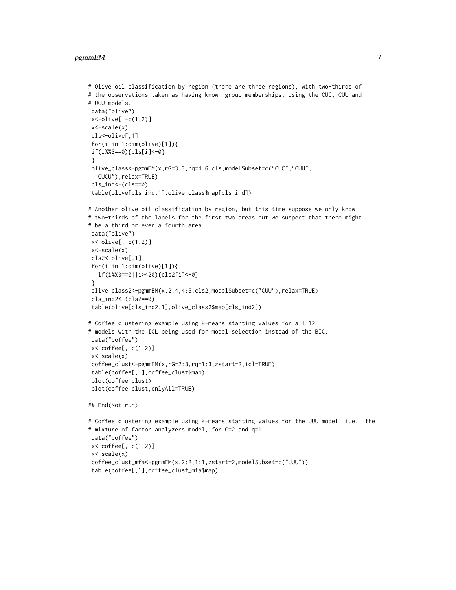#### $\epsilon$  pgmmEM  $\,$   $\,$

```
# Olive oil classification by region (there are three regions), with two-thirds of
# the observations taken as having known group memberships, using the CUC, CUU and
# UCU models.
data("olive")
x<-olive[,-c(1,2)]
x<-scale(x)
cls<-olive[,1]
 for(i in 1:dim(olive)[1]){
 if(i%%3==0){cls[i]<-0}
 }
olive_class<-pgmmEM(x,rG=3:3,rq=4:6,cls,modelSubset=c("CUC","CUU",
 "CUCU"),relax=TRUE)
 cls_ind<-(cls==0)
 table(olive[cls_ind,1],olive_class$map[cls_ind])
# Another olive oil classification by region, but this time suppose we only know
# two-thirds of the labels for the first two areas but we suspect that there might
# be a third or even a fourth area.
data("olive")
x<-olive[,-c(1,2)]
x<-scale(x)
cls2<-olive[,1]
 for(i in 1:dim(olive)[1]){
  if(i%%3==0||i>420){cls2[i]<-0}
 }
 olive_class2<-pgmmEM(x,2:4,4:6,cls2,modelSubset=c("CUU"),relax=TRUE)
cls_ind2<-(cls2==0)
 table(olive[cls_ind2,1],olive_class2$map[cls_ind2])
# Coffee clustering example using k-means starting values for all 12
# models with the ICL being used for model selection instead of the BIC.
data("coffee")
x<-coffee[,-c(1,2)]
x<-scale(x)
 coffee_clust<-pgmmEM(x,rG=2:3,rq=1:3,zstart=2,icl=TRUE)
 table(coffee[,1],coffee_clust$map)
 plot(coffee_clust)
plot(coffee_clust,onlyAll=TRUE)
## End(Not run)
# Coffee clustering example using k-means starting values for the UUU model, i.e., the
# mixture of factor analyzers model, for G=2 and q=1.
data("coffee")
x<-coffee[,-c(1,2)]
x<-scale(x)
coffee_clust_mfa<-pgmmEM(x,2:2,1:1,zstart=2,modelSubset=c("UUU"))
 table(coffee[,1],coffee_clust_mfa$map)
```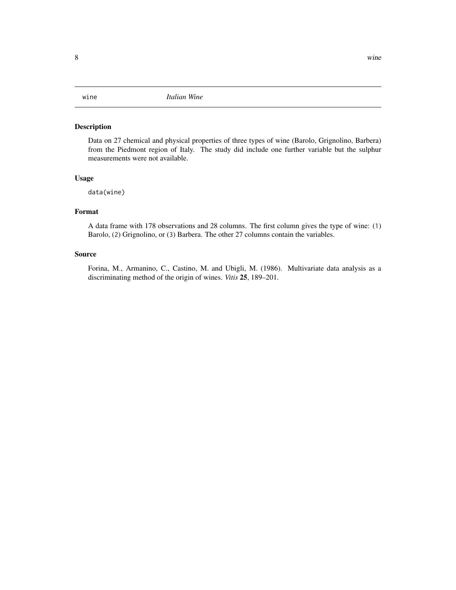#### <span id="page-7-0"></span>Description

Data on 27 chemical and physical properties of three types of wine (Barolo, Grignolino, Barbera) from the Piedmont region of Italy. The study did include one further variable but the sulphur measurements were not available.

#### Usage

data(wine)

#### Format

A data frame with 178 observations and 28 columns. The first column gives the type of wine: (1) Barolo, (2) Grignolino, or (3) Barbera. The other 27 columns contain the variables.

#### Source

Forina, M., Armanino, C., Castino, M. and Ubigli, M. (1986). Multivariate data analysis as a discriminating method of the origin of wines. *Vitis* 25, 189–201.